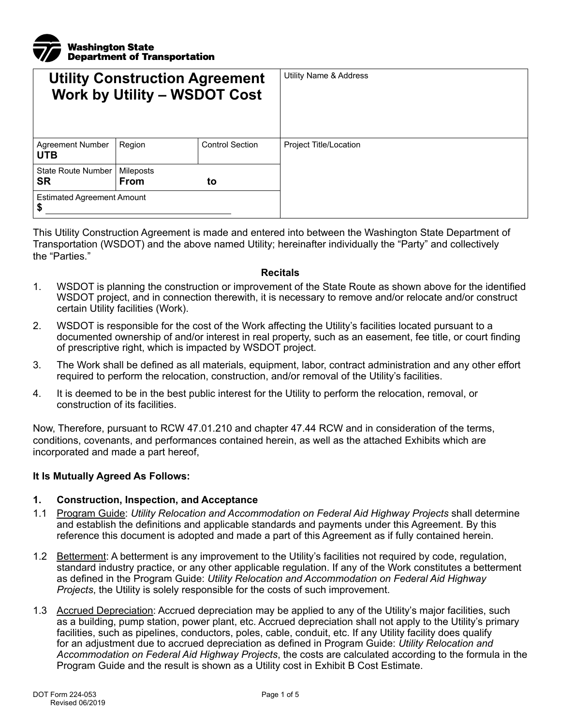

| <b>Utility Construction Agreement</b><br><b>Work by Utility - WSDOT Cost</b> |                          |                        | Utility Name & Address |
|------------------------------------------------------------------------------|--------------------------|------------------------|------------------------|
| Agreement Number<br><b>UTB</b>                                               | Region                   | <b>Control Section</b> | Project Title/Location |
| State Route Number<br>SR                                                     | Mileposts<br><b>From</b> | to                     |                        |
| <b>Estimated Agreement Amount</b><br>\$                                      |                          |                        |                        |

This Utility Construction Agreement is made and entered into between the Washington State Department of Transportation (WSDOT) and the above named Utility; hereinafter individually the "Party" and collectively the "Parties."

#### **Recitals**

- 1. WSDOT is planning the construction or improvement of the State Route as shown above for the identified WSDOT project, and in connection therewith, it is necessary to remove and/or relocate and/or construct certain Utility facilities (Work).
- 2. WSDOT is responsible for the cost of the Work affecting the Utility's facilities located pursuant to a documented ownership of and/or interest in real property, such as an easement, fee title, or court finding of prescriptive right, which is impacted by WSDOT project.
- 3. The Work shall be defined as all materials, equipment, labor, contract administration and any other effort required to perform the relocation, construction, and/or removal of the Utility's facilities.
- 4. It is deemed to be in the best public interest for the Utility to perform the relocation, removal, or construction of its facilities.

Now, Therefore, pursuant to RCW 47.01.210 and chapter 47.44 RCW and in consideration of the terms, conditions, covenants, and performances contained herein, as well as the attached Exhibits which are incorporated and made a part hereof,

#### **It Is Mutually Agreed As Follows:**

#### **1. Construction, Inspection, and Acceptance**

- 1.1 Program Guide: *Utility Relocation and Accommodation on Federal Aid Highway Projects* shall determine and establish the definitions and applicable standards and payments under this Agreement. By this reference this document is adopted and made a part of this Agreement as if fully contained herein.
- 1.2 Betterment: A betterment is any improvement to the Utility's facilities not required by code, regulation, standard industry practice, or any other applicable regulation. If any of the Work constitutes a betterment as defined in the Program Guide: *Utility Relocation and Accommodation on Federal Aid Highway Projects*, the Utility is solely responsible for the costs of such improvement.
- 1.3 Accrued Depreciation: Accrued depreciation may be applied to any of the Utility's major facilities, such as a building, pump station, power plant, etc. Accrued depreciation shall not apply to the Utility's primary facilities, such as pipelines, conductors, poles, cable, conduit, etc. If any Utility facility does qualify for an adjustment due to accrued depreciation as defined in Program Guide: *Utility Relocation and Accommodation on Federal Aid Highway Projects*, the costs are calculated according to the formula in the Program Guide and the result is shown as a Utility cost in Exhibit B Cost Estimate.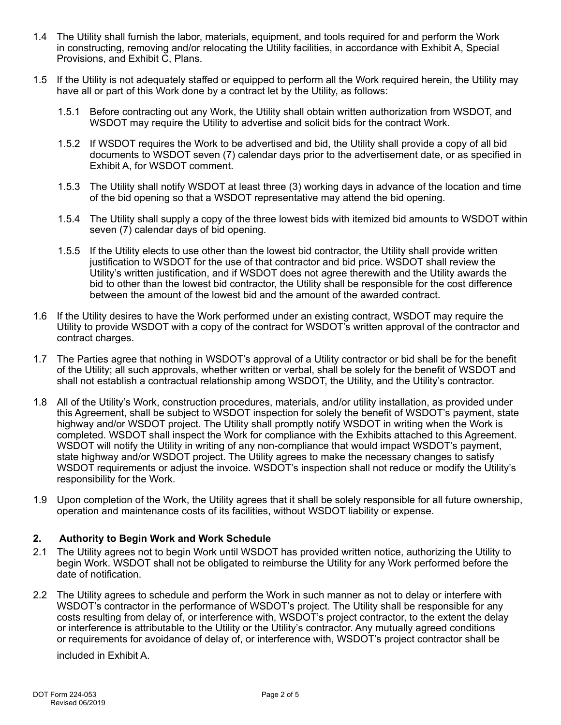- 1.4 The Utility shall furnish the labor, materials, equipment, and tools required for and perform the Work in constructing, removing and/or relocating the Utility facilities, in accordance with Exhibit A, Special Provisions, and Exhibit C, Plans.
- 1.5 If the Utility is not adequately staffed or equipped to perform all the Work required herein, the Utility may have all or part of this Work done by a contract let by the Utility, as follows:
	- 1.5.1 Before contracting out any Work, the Utility shall obtain written authorization from WSDOT, and WSDOT may require the Utility to advertise and solicit bids for the contract Work.
	- 1.5.2 If WSDOT requires the Work to be advertised and bid, the Utility shall provide a copy of all bid documents to WSDOT seven (7) calendar days prior to the advertisement date, or as specified in Exhibit A, for WSDOT comment.
	- 1.5.3 The Utility shall notify WSDOT at least three (3) working days in advance of the location and time of the bid opening so that a WSDOT representative may attend the bid opening.
	- 1.5.4 The Utility shall supply a copy of the three lowest bids with itemized bid amounts to WSDOT within seven (7) calendar days of bid opening.
	- 1.5.5 If the Utility elects to use other than the lowest bid contractor, the Utility shall provide written justification to WSDOT for the use of that contractor and bid price. WSDOT shall review the Utility's written justification, and if WSDOT does not agree therewith and the Utility awards the bid to other than the lowest bid contractor, the Utility shall be responsible for the cost difference between the amount of the lowest bid and the amount of the awarded contract.
- 1.6 If the Utility desires to have the Work performed under an existing contract, WSDOT may require the Utility to provide WSDOT with a copy of the contract for WSDOT's written approval of the contractor and contract charges.
- 1.7 The Parties agree that nothing in WSDOT's approval of a Utility contractor or bid shall be for the benefit of the Utility; all such approvals, whether written or verbal, shall be solely for the benefit of WSDOT and shall not establish a contractual relationship among WSDOT, the Utility, and the Utility's contractor.
- 1.8 All of the Utility's Work, construction procedures, materials, and/or utility installation, as provided under this Agreement, shall be subject to WSDOT inspection for solely the benefit of WSDOT's payment, state highway and/or WSDOT project. The Utility shall promptly notify WSDOT in writing when the Work is completed. WSDOT shall inspect the Work for compliance with the Exhibits attached to this Agreement. WSDOT will notify the Utility in writing of any non-compliance that would impact WSDOT's payment, state highway and/or WSDOT project. The Utility agrees to make the necessary changes to satisfy WSDOT requirements or adjust the invoice. WSDOT's inspection shall not reduce or modify the Utility's responsibility for the Work.
- 1.9 Upon completion of the Work, the Utility agrees that it shall be solely responsible for all future ownership, operation and maintenance costs of its facilities, without WSDOT liability or expense.

### **2. Authority to Begin Work and Work Schedule**

- 2.1 The Utility agrees not to begin Work until WSDOT has provided written notice, authorizing the Utility to begin Work. WSDOT shall not be obligated to reimburse the Utility for any Work performed before the date of notification.
- 2.2 The Utility agrees to schedule and perform the Work in such manner as not to delay or interfere with WSDOT's contractor in the performance of WSDOT's project. The Utility shall be responsible for any costs resulting from delay of, or interference with, WSDOT's project contractor, to the extent the delay or interference is attributable to the Utility or the Utility's contractor. Any mutually agreed conditions or requirements for avoidance of delay of, or interference with, WSDOT's project contractor shall be

included in Exhibit A.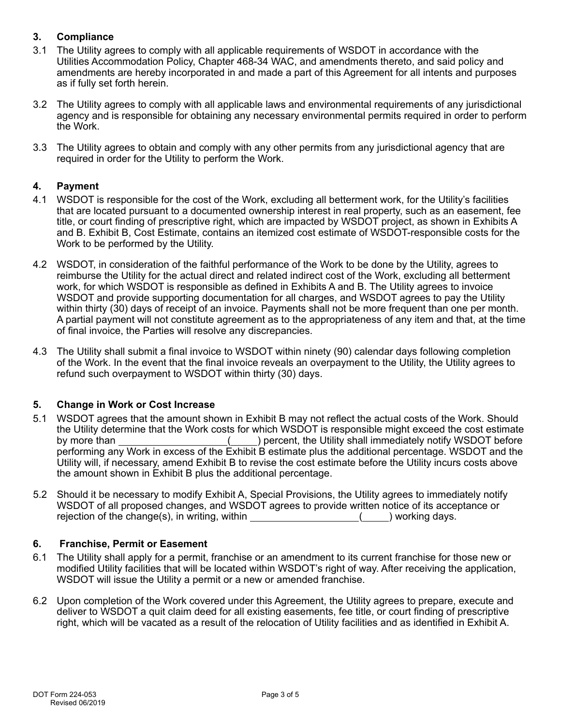# **3. Compliance**

- 3.1 The Utility agrees to comply with all applicable requirements of WSDOT in accordance with the Utilities Accommodation Policy, Chapter 468-34 WAC, and amendments thereto, and said policy and amendments are hereby incorporated in and made a part of this Agreement for all intents and purposes as if fully set forth herein.
- 3.2 The Utility agrees to comply with all applicable laws and environmental requirements of any jurisdictional agency and is responsible for obtaining any necessary environmental permits required in order to perform the Work.
- 3.3 The Utility agrees to obtain and comply with any other permits from any jurisdictional agency that are required in order for the Utility to perform the Work.

### **4. Payment**

- 4.1 WSDOT is responsible for the cost of the Work, excluding all betterment work, for the Utility's facilities that are located pursuant to a documented ownership interest in real property, such as an easement, fee title, or court finding of prescriptive right, which are impacted by WSDOT project, as shown in Exhibits A and B. Exhibit B, Cost Estimate, contains an itemized cost estimate of WSDOT-responsible costs for the Work to be performed by the Utility.
- 4.2 WSDOT, in consideration of the faithful performance of the Work to be done by the Utility, agrees to reimburse the Utility for the actual direct and related indirect cost of the Work, excluding all betterment work, for which WSDOT is responsible as defined in Exhibits A and B. The Utility agrees to invoice WSDOT and provide supporting documentation for all charges, and WSDOT agrees to pay the Utility within thirty (30) days of receipt of an invoice. Payments shall not be more frequent than one per month. A partial payment will not constitute agreement as to the appropriateness of any item and that, at the time of final invoice, the Parties will resolve any discrepancies.
- 4.3 The Utility shall submit a final invoice to WSDOT within ninety (90) calendar days following completion of the Work. In the event that the final invoice reveals an overpayment to the Utility, the Utility agrees to refund such overpayment to WSDOT within thirty (30) days.

### **5. Change in Work or Cost Increase**

- 5.1 WSDOT agrees that the amount shown in Exhibit B may not reflect the actual costs of the Work. Should the Utility determine that the Work costs for which WSDOT is responsible might exceed the cost estimate by more than <u>section of the section of the Utility shall immediately notify WSDOT before</u> performing any Work in excess of the Exhibit B estimate plus the additional percentage. WSDOT and the Utility will, if necessary, amend Exhibit B to revise the cost estimate before the Utility incurs costs above the amount shown in Exhibit B plus the additional percentage.
- 5.2 Should it be necessary to modify Exhibit A, Special Provisions, the Utility agrees to immediately notify WSDOT of all proposed changes, and WSDOT agrees to provide written notice of its acceptance or rejection of the change(s), in writing, within  $($ ) working days.

### **6. Franchise, Permit or Easement**

- 6.1 The Utility shall apply for a permit, franchise or an amendment to its current franchise for those new or modified Utility facilities that will be located within WSDOT's right of way. After receiving the application, WSDOT will issue the Utility a permit or a new or amended franchise.
- 6.2 Upon completion of the Work covered under this Agreement, the Utility agrees to prepare, execute and deliver to WSDOT a quit claim deed for all existing easements, fee title, or court finding of prescriptive right, which will be vacated as a result of the relocation of Utility facilities and as identified in Exhibit A.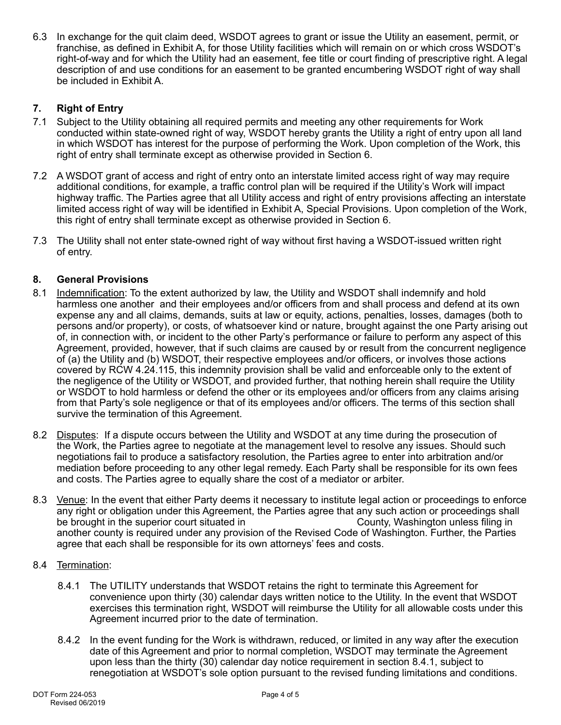6.3 In exchange for the quit claim deed, WSDOT agrees to grant or issue the Utility an easement, permit, or franchise, as defined in Exhibit A, for those Utility facilities which will remain on or which cross WSDOT's right-of-way and for which the Utility had an easement, fee title or court finding of prescriptive right. A legal description of and use conditions for an easement to be granted encumbering WSDOT right of way shall be included in Exhibit A.

# **7. Right of Entry**

- 7.1 Subject to the Utility obtaining all required permits and meeting any other requirements for Work conducted within state-owned right of way, WSDOT hereby grants the Utility a right of entry upon all land in which WSDOT has interest for the purpose of performing the Work. Upon completion of the Work, this right of entry shall terminate except as otherwise provided in Section 6.
- 7.2 A WSDOT grant of access and right of entry onto an interstate limited access right of way may require additional conditions, for example, a traffic control plan will be required if the Utility's Work will impact highway traffic. The Parties agree that all Utility access and right of entry provisions affecting an interstate limited access right of way will be identified in Exhibit A, Special Provisions. Upon completion of the Work, this right of entry shall terminate except as otherwise provided in Section 6.
- 7.3 The Utility shall not enter state-owned right of way without first having a WSDOT-issued written right of entry.

# **8. General Provisions**

- 8.1 Indemnification: To the extent authorized by law, the Utility and WSDOT shall indemnify and hold harmless one another and their employees and/or officers from and shall process and defend at its own expense any and all claims, demands, suits at law or equity, actions, penalties, losses, damages (both to persons and/or property), or costs, of whatsoever kind or nature, brought against the one Party arising out of, in connection with, or incident to the other Party's performance or failure to perform any aspect of this Agreement, provided, however, that if such claims are caused by or result from the concurrent negligence of (a) the Utility and (b) WSDOT, their respective employees and/or officers, or involves those actions covered by RCW 4.24.115, this indemnity provision shall be valid and enforceable only to the extent of the negligence of the Utility or WSDOT, and provided further, that nothing herein shall require the Utility or WSDOT to hold harmless or defend the other or its employees and/or officers from any claims arising from that Party's sole negligence or that of its employees and/or officers. The terms of this section shall survive the termination of this Agreement.
- 8.2 Disputes: If a dispute occurs between the Utility and WSDOT at any time during the prosecution of the Work, the Parties agree to negotiate at the management level to resolve any issues. Should such negotiations fail to produce a satisfactory resolution, the Parties agree to enter into arbitration and/or mediation before proceeding to any other legal remedy. Each Party shall be responsible for its own fees and costs. The Parties agree to equally share the cost of a mediator or arbiter.
- 8.3 Venue: In the event that either Party deems it necessary to institute legal action or proceedings to enforce any right or obligation under this Agreement, the Parties agree that any such action or proceedings shall<br>be brought in the superior court situated in<br> **Example 19** County, Washington unless filing in be brought in the superior court situated in another county is required under any provision of the Revised Code of Washington. Further, the Parties agree that each shall be responsible for its own attorneys' fees and costs.

### 8.4 Termination:

- 8.4.1 The UTILITY understands that WSDOT retains the right to terminate this Agreement for convenience upon thirty (30) calendar days written notice to the Utility. In the event that WSDOT exercises this termination right, WSDOT will reimburse the Utility for all allowable costs under this Agreement incurred prior to the date of termination.
- 8.4.2 In the event funding for the Work is withdrawn, reduced, or limited in any way after the execution date of this Agreement and prior to normal completion, WSDOT may terminate the Agreement upon less than the thirty (30) calendar day notice requirement in section 8.4.1, subject to renegotiation at WSDOT's sole option pursuant to the revised funding limitations and conditions.